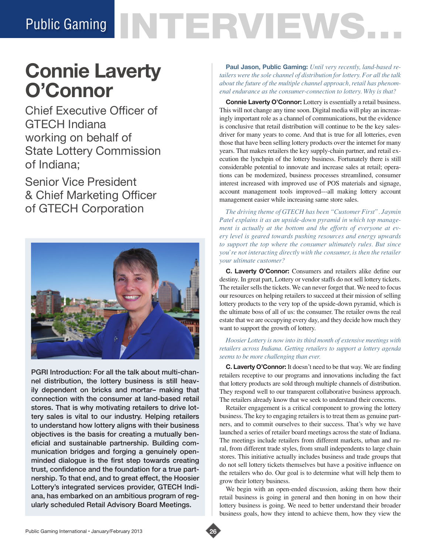# Public Gaming NTERVIEWS.

# **Connie Laverty O'Connor**

Chief Executive Officer of GTECH Indiana working on behalf of State Lottery Commission of Indiana;

Senior Vice President & Chief Marketing Officer of GTECH Corporation



PGRI Introduction: For all the talk about multi-channel distribution, the lottery business is still heavily dependent on bricks and mortar– making that connection with the consumer at land-based retail stores. That is why motivating retailers to drive lottery sales is vital to our industry. Helping retailers to understand how lottery aligns with their business objectives is the basis for creating a mutually beneficial and sustainable partnership. Building communication bridges and forging a genuinely openminded dialogue is the first step towards creating trust, confidence and the foundation for a true partnership. To that end, and to great effect, the Hoosier Lottery's integrated services provider, GTECH Indiana, has embarked on an ambitious program of regularly scheduled Retail Advisory Board Meetings.

**Paul Jason, Public Gaming:** *Until very recently, land-based retailers were the sole channel of distribution for lottery. For all the talk about the future of the multiple channel approach, retail has phenomenal endurance as the consumer-connection to lottery. Why is that?*

**Connie Laverty O'Connor:** Lottery is essentially a retail business. This will not change any time soon. Digital media will play an increasingly important role as a channel of communications, but the evidence is conclusive that retail distribution will continue to be the key salesdriver for many years to come. And that is true for all lotteries, even those that have been selling lottery products over the internet for many years. That makes retailers the key supply-chain partner, and retail execution the lynchpin of the lottery business. Fortunately there is still considerable potential to innovate and increase sales at retail; operations can be modernized, business processes streamlined, consumer interest increased with improved use of POS materials and signage, account management tools improved---all making lottery account management easier while increasing same store sales.

*The driving theme of GTECH has been "Customer First". Jaymin Patel explains it as an upside-down pyramid in which top management is actually at the bottom and the efforts of everyone at every level is geared towards pushing resources and energy upwards to support the top where the consumer ultimately rules. But since you're not interacting directly with the consumer, is then the retailer your ultimate customer?* 

**C. Laverty O'Connor:** Consumers and retailers alike define our destiny. In great part, Lottery or vendor staffs do not sell lottery tickets. The retailer sells the tickets. We can never forget that. We need to focus our resources on helping retailers to succeed at their mission of selling lottery products to the very top of the upside-down pyramid, which is the ultimate boss of all of us: the consumer. The retailer owns the real estate that we are occupying every day, and they decide how much they want to support the growth of lottery.

## *Hoosier Lottery is now into its third month of extensive meetings with retailers across Indiana. Getting retailers to support a lottery agenda seems to be more challenging than ever.*

**C. Laverty O'Connor:** It doesn't need to be that way. We are finding retailers receptive to our programs and innovations including the fact that lottery products are sold through multiple channels of distribution. They respond well to our transparent collaborative business approach. The retailers already know that we seek to understand their concerns.

Retailer engagement is a critical component to growing the lottery business. The key to engaging retailers is to treat them as genuine partners, and to commit ourselves to their success. That's why we have launched a series of retailer board meetings across the state of Indiana. The meetings include retailers from different markets, urban and rural, from different trade styles, from small independents to large chain stores. This initiative actually includes business and trade groups that do not sell lottery tickets themselves but have a positive influence on the retailers who do. Our goal is to determine what will help them to grow their lottery business.

We begin with an open-ended discussion, asking them how their retail business is going in general and then honing in on how their lottery business is going. We need to better understand their broader business goals, how they intend to achieve them, how they view the

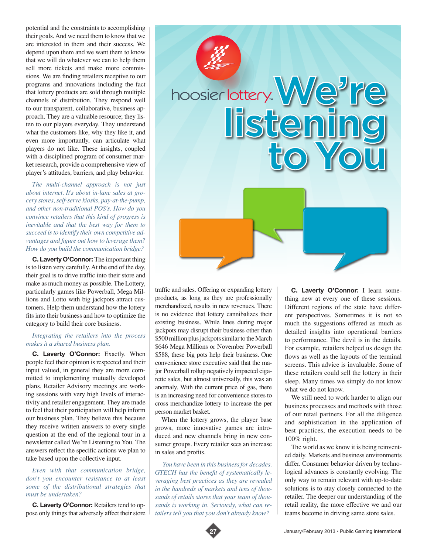potential and the constraints to accomplishing their goals. And we need them to know that we are interested in them and their success. We depend upon them and we want them to know that we will do whatever we can to help them sell more tickets and make more commissions. We are finding retailers receptive to our programs and innovations including the fact that lottery products are sold through multiple channels of distribution. They respond well to our transparent, collaborative, business approach. They are a valuable resource; they listen to our players everyday. They understand what the customers like, why they like it, and even more importantly, can articulate what players do not like. These insights, coupled with a disciplined program of consumer market research, provide a comprehensive view of player's attitudes, barriers, and play behavior.

*The multi-channel approach is not just about internet. It's about in-lane sales at grocery stores, self-serve kiosks, pay-at-the-pump, and other non-traditional POS's. How do you convince retailers that this kind of progress is inevitable and that the best way for them to succeed is to identify their own competitive advantages and figure out how to leverage them? How do you build the communication bridge?*

**C. Laverty O'Connor:** The important thing is to listen very carefully. At the end of the day, their goal is to drive traffic into their store and make as much money as possible. The Lottery, particularly games like Powerball, Mega Millions and Lotto with big jackpots attract customers. Help them understand how the lottery fits into their business and how to optimize the category to build their core business.

#### *Integrating the retailers into the process makes it a shared business plan.*

**C. Laverty O'Connor:** Exactly. When people feel their opinion is respected and their input valued, in general they are more committed to implementing mutually developed plans. Retailer Advisory meetings are working sessions with very high levels of interactivity and retailer engagement. They are made to feel that their participation will help inform our business plan. They believe this because they receive written answers to every single question at the end of the regional tour in a newsletter called We're Listening to You. The answers reflect the specific actions we plan to take based upon the collective input.

*Even with that communication bridge, don't you encounter resistance to at least some of the distributional strategies that must be undertaken?* 

**C. Laverty O'Connor:** Retailers tend to oppose only things that adversely affect their store



traffic and sales. Offering or expanding lottery products, as long as they are professionally merchandized, results in new revenues. There is no evidence that lottery cannibalizes their existing business. While lines during major jackpots may disrupt their business other than \$500 million plus jackpots similar to the March \$646 Mega Millions or November Powerball \$588, these big pots help their business. One convenience store executive said that the major Powerball rollup negatively impacted cigarette sales, but almost universally, this was an anomaly. With the current price of gas, there is an increasing need for convenience stores to cross merchandize lottery to increase the per person market basket.

When the lottery grows, the player base grows, more innovative games are introduced and new channels bring in new consumer groups. Every retailer sees an increase in sales and profits.

 *You have been in this business for decades. GTECH has the benefit of systematically leveraging best practices as they are revealed in the hundreds of markets and tens of thousands of retails stores that your team of thousands is working in. Seriously, what can retailers tell you that you don't already know?*

**C. Laverty O'Connor:** I learn something new at every one of these sessions. Different regions of the state have different perspectives. Sometimes it is not so much the suggestions offered as much as detailed insights into operational barriers to performance. The devil is in the details. For example, retailers helped us design the flows as well as the layouts of the terminal screens. This advice is invaluable. Some of these retailers could sell the lottery in their sleep. Many times we simply do not know what we do not know.

We still need to work harder to align our business processes and methods with those of our retail partners. For all the diligence and sophistication in the application of best practices, the execution needs to be 100% right.

The world as we know it is being reinvented daily. Markets and business environments differ. Consumer behavior driven by technological advances is constantly evolving. The only way to remain relevant with up-to-date solutions is to stay closely connected to the retailer. The deeper our understanding of the retail reality, the more effective we and our teams become in driving same store sales.